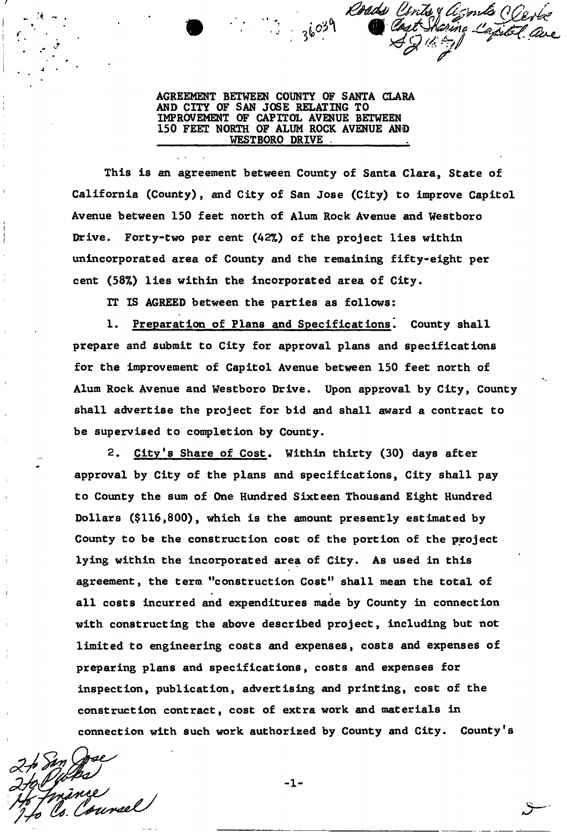Roads C

**AGREEMENT BETWEEN COUNTY OF SANTA CLARA AND CITY OF SAN JOSE RELATING TO IMPROVEMENT OF CAPITOL AVENUE BETWEEN 150 FEET NORTH OF ALUM ROCK AVENUE AND**  WESTBORO DRIVE

**This is an agreement between County of Santa Clara, State of California (County), and City of San Jose (City) to improve Capitol Avenue between 150 feet north of Alum Rock Avenue and Westboro Drive. Forty-two per cent (42%) of the project lies within unincorporated area of County and the remaining fifty-eight per cent (58%) lies within the incorporated area of City.** 

**IT IS AGREED between the parties as follows:** 

**1. Preparation of Plans and Specifications. County shall prepare and submit to City for approval plans and specifications for the improvement of Capitol Avenue between 150 feet north of Alum Rock Avenue and Westboro Drive. Upon approval by City, County shall advertise the project for bid and shall award a contract to be supervised to completion by County.** 

**2. City's Share of Cost. Within thirty (30) days after approval by City of the plans and specifications, City shall pay to County the sum of One Hundred Sixteen Thousand Eight Hundred Dollars (\$116,800), which is the amount presently estimated by County to be the construction cost of the portion of the project lying within the incorporated area of City. As used in this agreement, the term "construction Cost<sup>11</sup> shall mean the total of all costs incurred and expenditures made by County in connection with constructing the above described project, including but not limited to engineering costs and expenses, costs and expenses of preparing plans and specifications, costs and expenses for inspection, publication, advertising and printing, cost of the construction contract, cost of extra work and materials in connection with such work authorized by County and City. County's** 

ance

 $-1-$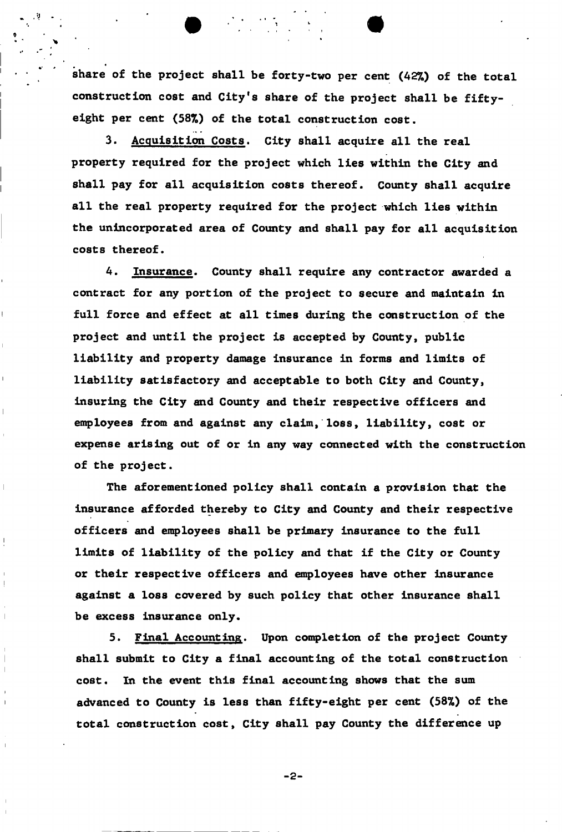**share of the project shall be forty-two per cent (42%) of the total construction cost and City's share of the project shall be fiftyeight per cent (58%) of the total construction cost.** 

**3. Acquisition Costs. City shall acquire all the real property required for the project which lies within the City and shall pay for all acquisition costs thereof. County shall acquire all the real property required for the project which lies within the unincorporated area of County and shall pay for all acquisition costs thereof.** 

4. **Insurance. County shall require any contractor awarded a contract for any portion of the project to secure and maintain in full force and effect at all times during the construction of the project and until the project is accepted by County, public liability and property damage insurance in forms and limits of liability satisfactory and acceptable to both City and County, insuring the City and County and their respective officers and employees from and against any claim, loss, liability, cost or expense arising out of or in any way connected with the construction of the project.** 

**The aforementioned policy shall contain a provision that the insurance afforded thereby to City and County and their respective officers and employees shall be primary insurance to the full limits of liability of the policy and that if the City or County or their respective officers and employees have other insurance against a loss covered by such policy that other insurance shall be excess insurance only.** 

**5. Final Accounting. Upon completion of the project County shall submit to City a final accounting of the total construction cost. In the event this final accounting shows that the sum advanced to County is less than fifty-eight per cent (58%) of the total construction cost, City shall pay County the difference up** 

-2-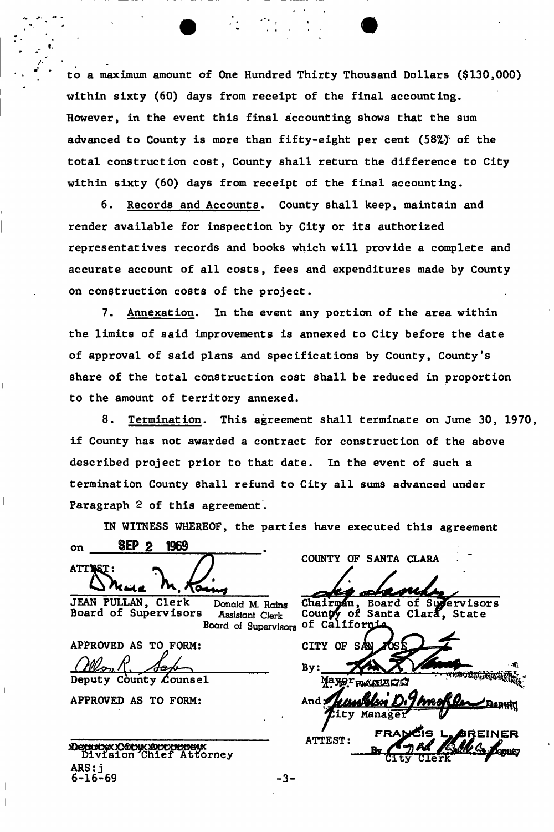**to a maximum amount of One Hundred Thirty Thousand Dollars (\$130,000) within sixty (60) days from receipt of the final accounting. However, in the event this final accounting shows that the sum advanced to County is more than fifty-eight per cent (58%)<sup>r</sup> of the total construction cost, County shall return the difference to City within sixty (60) days from receipt of the final accounting.** 

**6. Records and Accounts. County shall keep, maintain and render available for inspection by City or its authorized representatives records and books which will provide a complete and accurate account of all costs, fees and expenditures made by County on construction costs of the project.** 

**7. Annexation. In the event any portion of the area within the limits of said improvements is annexed to City before the date of approval of said plans and specifications by County, County's share of the total construction cost shall be reduced in proportion to the amount of territory annexed.** 

**8. Termination. This agreement shall terminate on June 30, 1970, if County has not awarded a contract for construction of the above described project prior to that date. In the event of such a termination County shall refund to City all sums advanced under Paragraph 2 of this agreement.** 

**IN WITNESS WHEREOF, the parties have executed this agreement**  on IEP 2 1969 ATTSST: **WWW. M. Rainy** COUNTY OF SANTA CLARA JEAN PULLAN, Clerk Donald M. Rains Chairman, Board of Supervisors **Board of Supervisors Assistant Clerk Counpy of Santa Clara, State**  Board of Supervisors of Californi **APPROVED AS TO FORM:**  CITY OF SAN *fM^i* **f .** *\_JL u*  By: **Deputy County Counsel** Maxor **APPROVED AS TO FORM:** And **And** City Manager **EINE R ATTEST:**  Denutyxx Cutux Autornew *^^fogtiSaj*  ARS: j **- 3 -**

**6-16-69**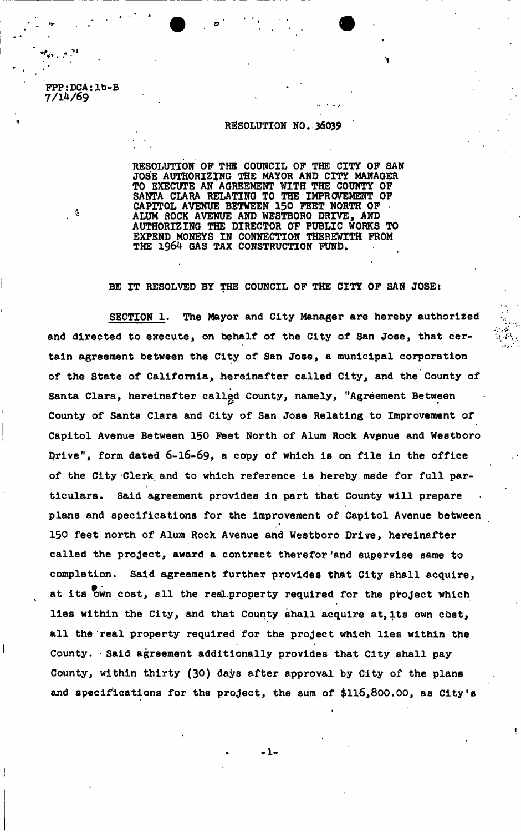**FPP:DCA:lb-B 7/1^/69** 

 $\mathbf{v}_i \in \mathbb{R}^{2d}$ 

**.**

## **RESOLUTION NO. 36039**

**RESOLUTION OF THE COUNCIL OF THE CITY OF SAN JOSE AUTHORIZING THE MAYOR AND CITY MANAGER TO EXECUTE AN AGREEMENT WITH THE COUNTY OF SANTA CLARA RELATING TO THE IMPROVEMENT OF**  CAPITOL AVENUE BETWEEN 150 FEET NORTH OF **<sup>4</sup> ALUM ROCK AVENUE AND WESTBORO DRIVE, AND AUTHORIZING THE DIRECTOR OF PUBLIC WORKS TO EXPEND MONEYS IN CONNECTION THEREWITH FROM THE 1964 GAS TAX CONSTRUCTION FUND.** 

BE IT RESOLVED BY THE COUNCIL OF THE CITY OF SAN JOSE:

SECTION 1. The Mayor and City Manager are hereby authorized **and directed to execute, on behalf of the City of San Jose, that certain agreement between the City of San Jose, a municipal corporation of the State of California, hereinafter called City, and the County of**  Santa Clara, hereinafter called County, namely, "Agreement Between **County of Santa Clara and City of San Jose Relating to Improvement of Capitol Avenue Between 150 Feet North of Alum Rock Avenue and Westboro prive", form dated 6-16-69, a copy of which is on file in the office of the City Clerk, and to which reference is hereby made for full particulars. Said agreement provides in part that County will prepare plans and specifications for the improvement of Capitol Avenue between 150 feet north of Alum Rock Avenue and Westboro Drive, hereinafter called the project, award a contract therefor 'and supervise same to completion. Said agreement further provides that City shall acquire,**  at its own cost, all the realproperty required for the project which **lies within the City, and that County shall acquire at, its own cost, all the real property required for the project which lies within the**  County. Said agreement additionally provides that City shall pay **County, within thirty (30) days after approval by City of the plans and specifications for the project, the sum of \$116,800.00, as City's** 

**- 1 -**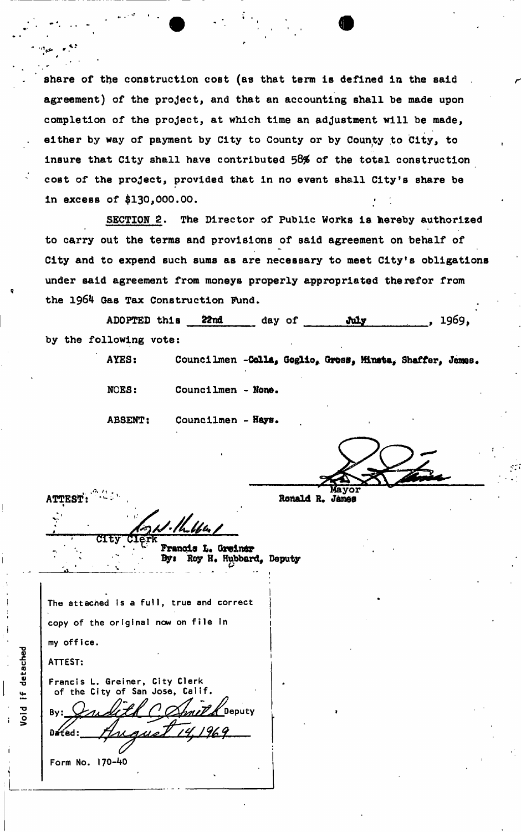**share of the construction cost (as that term is defined in the said**  agreement) of the project, and that an accounting shall be made upon **completion of the project, at which time an adjustment will be made, either by way of payment by City to County or by County to City, to Insure that City shall have contributed 58\$ of the total construction**  cost of the project, provided that in no event shall City's share be **in excess of \$130,000,00.** 

**SECTION 2. The Director of Public Works ia hereby authorized to carry out the terms and provisions of said agreement on behalf of City and to expend such sums as are necessary to meet City's obligations under said agreement from moneys properly appropriated therefor from the 1964 Gas Tax Construction Fund.** 

ADOPTED this 22nd day of **Wily**, 1969 **by the following vote:** 

AYES: Councilmen -Colla, Goglio, Gross, Mineta, Shaffer, James.

**NOES: Councilmen - None,** 

**ABSENT: Councilmen - Hays.** 

**Mayor ATTEST:**  $\frac{1}{2}$  **Ronald R. James** 

\* CIT

Francis L. Greinsr Roy H. Hubbard, Deputy By:

The attached is a full, true and correct copy of the original now on file in 1 my office.

ATTEST:

Francis L. Greiner, City Clerk of the City of San Jose, Ca By: *Judith (! Chmilk* Deputy

 $\Delta$ *f* $($ *ed*  $)$ 

Form No. 170-40

if detached bid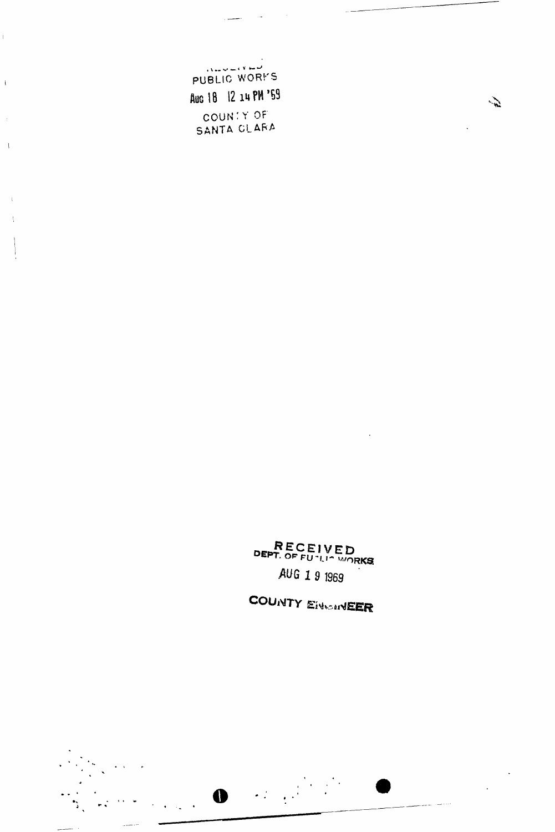الموسوع وسيرت سأساب PUBLIC WORKS Aug 18 12 14 PM '59 COUNTY OF<br>SANTA CLARA

 $\frac{1}{2}$ 

 $\bar{\Gamma}$ 

 $\bar{V}$ 

 $\bar{V}$ 

 $\mathbf{i}$ 

RECEIVED AUG 1 9 1969

COUNTY EINGINEER

 $\frac{1}{2}$ 

 $\frac{1}{2}$ 

 $\bullet$  and  $\bullet$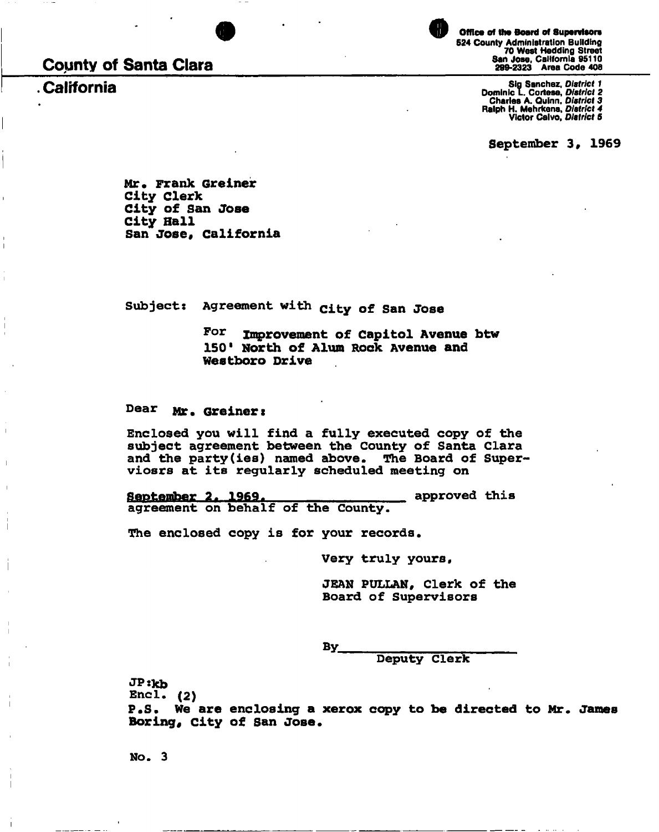**County of Santa Clara** 

**California** 



Office of the Board of Supervisors **524 County Administration Building 70 West Hedding Street San Jose, California 95110 299-2323 Area Code 406** 

**Sig Sanchez,** *District 1*  **Dominic L Cortese,** *District 2*  **Charles A. Quinn,** *District 3*  **Ralph H. Mehrkens,** *District 4*  **Victor Calvo.** *District S* 

**September 3, 1969** 

**Mr. Frank Greiner City Clerk City of San Jose City Hall**  San Jose, California

**Subjects Agreement with<sup>C</sup> i <sup>t</sup> y o f Sa n Jos <sup>e</sup>**

For Improvement of Capitol Avenue btw **150<sup>1</sup> North of Alum Hock Avenue and Westboro Drive** 

**Dear Mr. Greineri** 

**Enclosed you will find a fully executed copy of the subject agreement between the County of Santa Clara and the party(ies) named above. The Board of Superviosrs at its regularly scheduled meeting on** 

**September 2. 1969. approved this** agreement on behalf of the County. **agreement on behalf of the County.** 

**The enclosed copy is for your records.** 

**Very truly yours,** 

**JEAN PULLAN, Clerk of the Board of Supervisors** 

**By** 

**Deputy Clerk** 

**JPskb** 

**Encl. (2)** 

**P.S. We are enclosing a xerox copy to be directed to Mr. James Boring# city of San Jose.** 

**No. 3**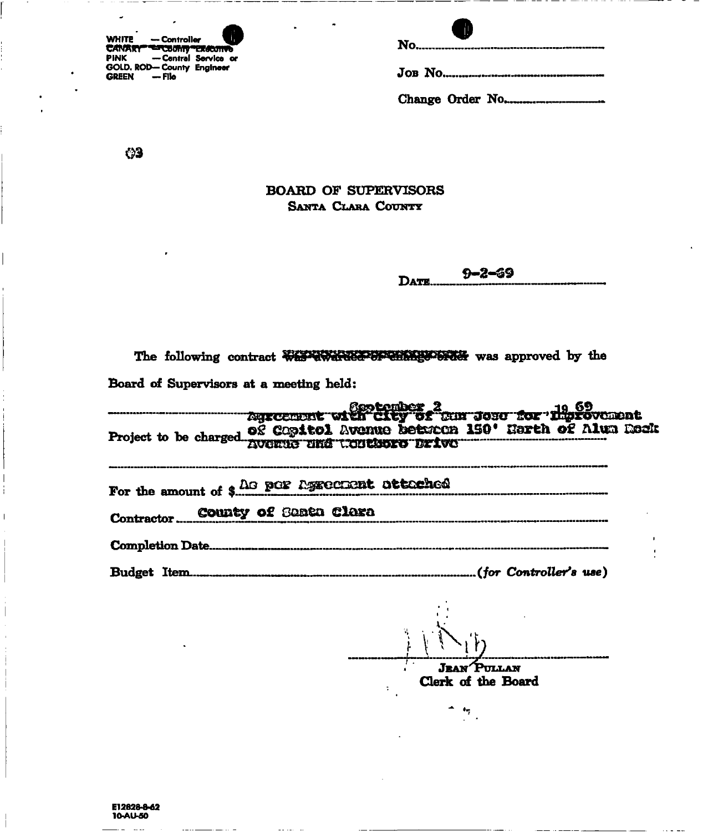| <b>WHITE</b>                               | — Controller |                     |
|--------------------------------------------|--------------|---------------------|
| CANARY "ETCURITY "EXICUTIVE<br><b>PINK</b> |              | -Central Service or |
| GOLD. ROD-County Engineer<br><b>GREEN</b>  | — File       |                     |

| Œ |
|---|
|   |
|   |

Change Order No....................

 $\bullet$ 3

## **BOARD OF SUPERVISORS** SANTA CLARA COUNTY

 $9 - 2 - 69$ DATE...

| The following contract westerwards of emission was approved by the                                |
|---------------------------------------------------------------------------------------------------|
| Board of Supervisors at a meeting held:                                                           |
| dgscenent with City of Cur Jose for Hiprovement. Agreement with City of Cur Jose for Hiprovement. |
| Project to be charged og Copitol Avenue between 150' Harth of Alun Boak                           |
| For the amount of \$ 40 por Agreement attached                                                    |
| Contractor County of Santa Clara                                                                  |
|                                                                                                   |
|                                                                                                   |

 $\mathcal{F}_{\mathcal{A}}^{\mathcal{A}}$ 

**JEAN PULLAN** Clerk of the Board

 $\bullet_7$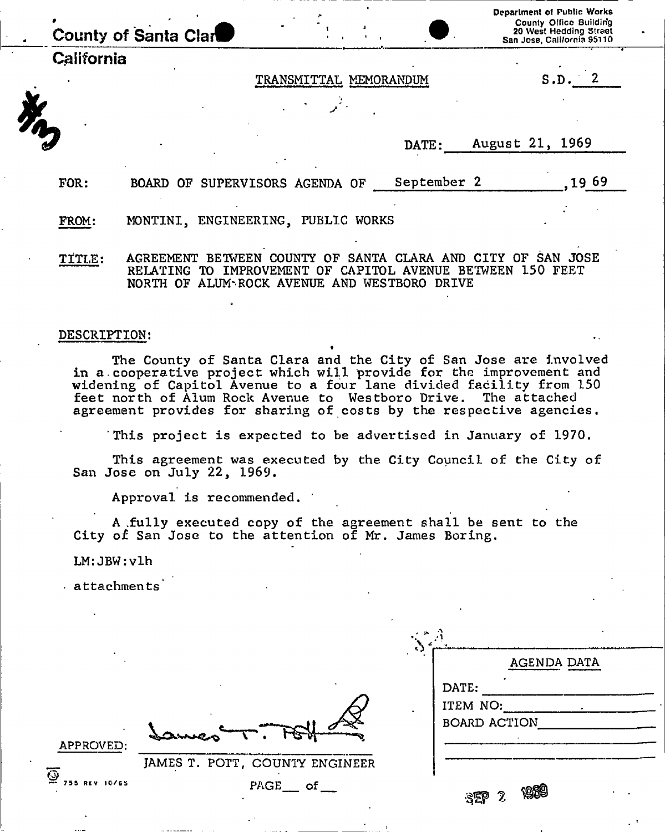| County of Santa Clar |                           | Department of Public Works<br>County Office Building<br>20 West Hedding Street<br>San Jose, California 95110 |
|----------------------|---------------------------|--------------------------------------------------------------------------------------------------------------|
| California           |                           |                                                                                                              |
|                      | MEMORANDUM<br>TRANSMITTAL | S.D                                                                                                          |
|                      |                           |                                                                                                              |
|                      |                           |                                                                                                              |
|                      | DATE:                     | August 21, 1969                                                                                              |
|                      |                           |                                                                                                              |

FROM: MONTINI, ENGINEERING, PUBLIC WORKS

TITLE: AGREEMENT BETWEEN COUNTY OF SANTA CLARA AND CITY OF SAN JOSE RELATING TO IMPROVEMENT OF CAPITOL AVENUE BETWEEN 150 FEET NORTH OF ALUM-ROCK AVENUE AND WESTBORO DRIVE

FOR: BOARD OF SUPERVISORS AGENDA OF September 2 1969

## DESCRIPTION:

The County of Santa Clara and the City of San Jose are involved in a.cooperative project which will provide for the improvement and widening of Capitol Avenue to a four lane divided facility from 150 feet north of Alum Rock Avenue to Westboro Drive. The attached agreement provides for sharing of costs by the respective agencies.

This project is expected to be advertised in January of 1970.

This agreement was executed by the City Council of the City of San Jose on July 22, 1969.

Approval is recommended.

JAMES T. POTT, COUNT

A .fully executed copy of the agreement shall be sent to the City of San Jose to the attention of Mr. James Boring,

LM: JBW:vlh

attachments

|                      | AGENDA DATA                              |  |
|----------------------|------------------------------------------|--|
|                      | DATE:<br>ITEM NO:<br><b>BOARD ACTION</b> |  |
| COUNTY ENGINEER      |                                          |  |
| $\texttt{PAGE\_ of}$ | <u>.080</u><br>2<br>$S^{ep}$             |  |

**APPROVED** 

755 REV 10/65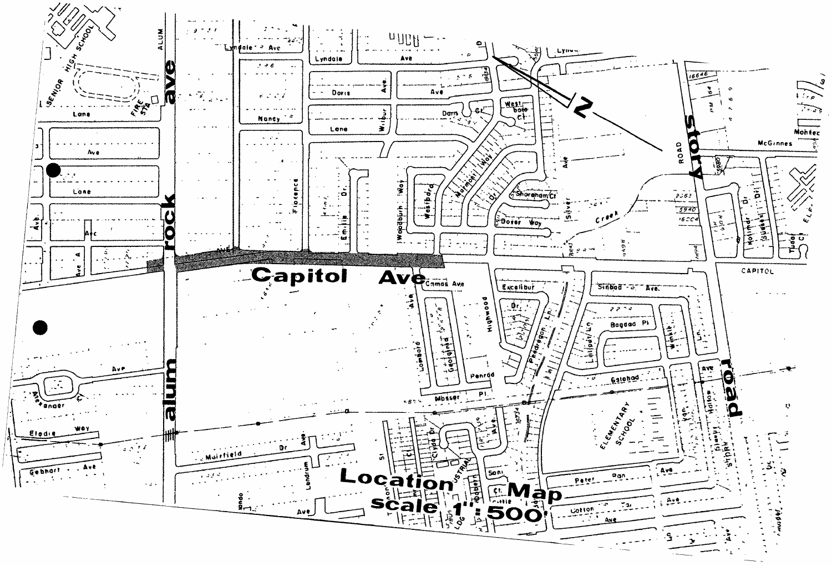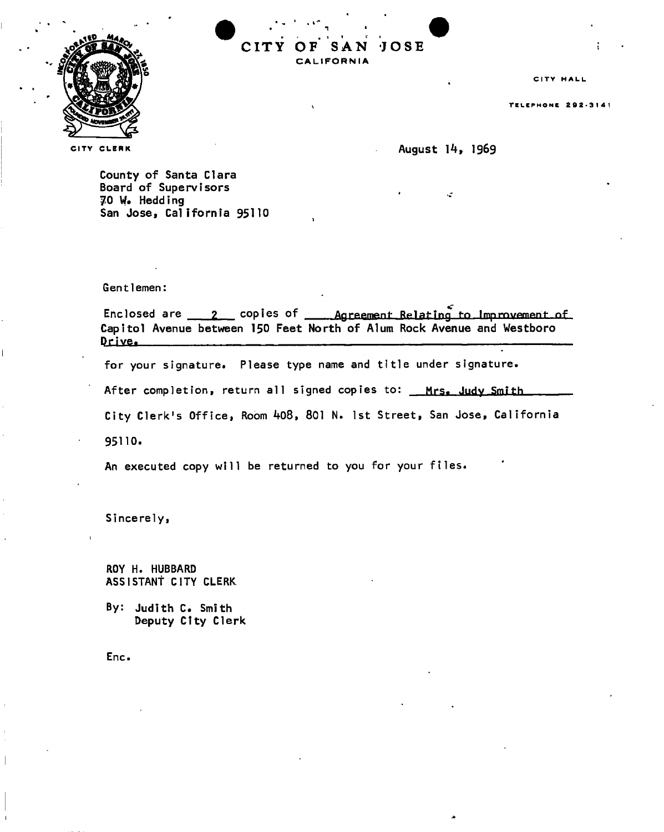

**CIT Y OF SAN JOS E CALIFORNI A** 

CITY HALL

TELEPHONE 292-3141

CLERK CLERK CLERK

County of Santa Clara Board of Supervisors 70 W. Hedding San Jose, California 95110

Gentlemen:

Enclosed are  $\frac{2}{\sqrt{2}}$  copies of <u>Agreement Relating</u> to Improvement of Capitol Avenue between 150 Feet North of Alum Rock Avenue and Westboro **P**.riYSi :

for your signature. Please type name and title under signature.

After completion, return all signed copies to: Mrs. Judy Smith

City Clerk's Office, Room 408, 801 N. 1st Street, San Jose, California

95110.

An executed copy will be returned to you for your files.

Sincerely,

ROY H. HUBBARD ASSISTANT CITY CLERK

By: Judith C. Smith Deputy City Clerk

Enc.